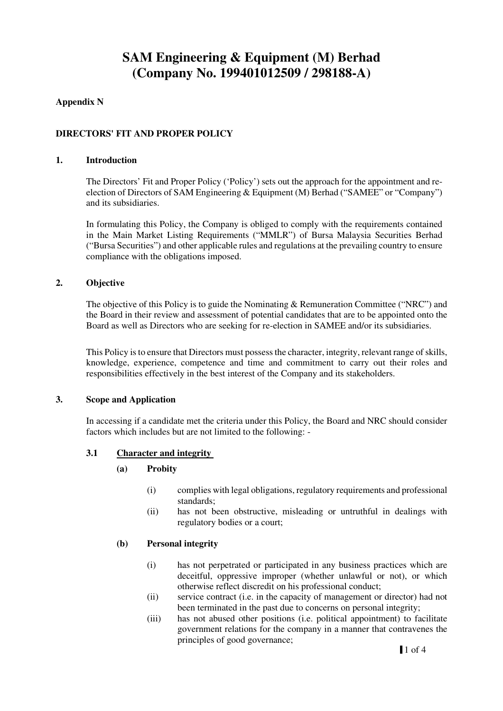# **Appendix N**

## **DIRECTORS' FIT AND PROPER POLICY**

#### **1. Introduction**

The Directors' Fit and Proper Policy ('Policy') sets out the approach for the appointment and reelection of Directors of SAM Engineering & Equipment (M) Berhad ("SAMEE" or "Company") and its subsidiaries.

In formulating this Policy, the Company is obliged to comply with the requirements contained in the Main Market Listing Requirements ("MMLR") of Bursa Malaysia Securities Berhad ("Bursa Securities") and other applicable rules and regulations at the prevailing country to ensure compliance with the obligations imposed.

#### **2. Objective**

The objective of this Policy is to guide the Nominating & Remuneration Committee ("NRC") and the Board in their review and assessment of potential candidates that are to be appointed onto the Board as well as Directors who are seeking for re-election in SAMEE and/or its subsidiaries.

This Policy is to ensure that Directors must possess the character, integrity, relevant range of skills, knowledge, experience, competence and time and commitment to carry out their roles and responsibilities effectively in the best interest of the Company and its stakeholders.

#### **3. Scope and Application**

In accessing if a candidate met the criteria under this Policy, the Board and NRC should consider factors which includes but are not limited to the following: -

#### **3.1 Character and integrity**

#### **(a) Probity**

- (i) complies with legal obligations, regulatory requirements and professional standards;
- (ii) has not been obstructive, misleading or untruthful in dealings with regulatory bodies or a court;

#### **(b) Personal integrity**

- (i) has not perpetrated or participated in any business practices which are deceitful, oppressive improper (whether unlawful or not), or which otherwise reflect discredit on his professional conduct;
- (ii) service contract (i.e. in the capacity of management or director) had not been terminated in the past due to concerns on personal integrity;
- (iii) has not abused other positions (i.e. political appointment) to facilitate government relations for the company in a manner that contravenes the principles of good governance;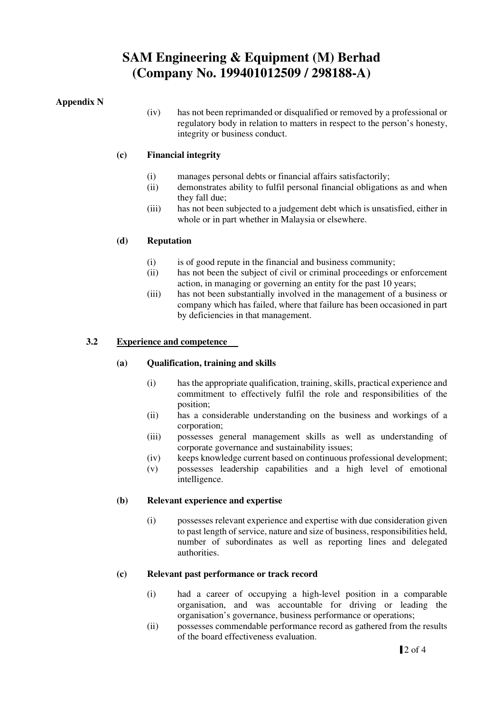## **Appendix N**

(iv) has not been reprimanded or disqualified or removed by a professional or regulatory body in relation to matters in respect to the person's honesty, integrity or business conduct.

# **(c) Financial integrity**

- (i) manages personal debts or financial affairs satisfactorily;
- (ii) demonstrates ability to fulfil personal financial obligations as and when they fall due;
- (iii) has not been subjected to a judgement debt which is unsatisfied, either in whole or in part whether in Malaysia or elsewhere.

## **(d) Reputation**

- (i) is of good repute in the financial and business community;
- (ii) has not been the subject of civil or criminal proceedings or enforcement action, in managing or governing an entity for the past 10 years;
- (iii) has not been substantially involved in the management of a business or company which has failed, where that failure has been occasioned in part by deficiencies in that management.

## **3.2 Experience and competence**

#### **(a) Qualification, training and skills**

- (i) has the appropriate qualification, training, skills, practical experience and commitment to effectively fulfil the role and responsibilities of the position;
- (ii) has a considerable understanding on the business and workings of a corporation;
- (iii) possesses general management skills as well as understanding of corporate governance and sustainability issues;
- (iv) keeps knowledge current based on continuous professional development;
- (v) possesses leadership capabilities and a high level of emotional intelligence.

#### **(b) Relevant experience and expertise**

(i) possesses relevant experience and expertise with due consideration given to past length of service, nature and size of business, responsibilities held, number of subordinates as well as reporting lines and delegated authorities.

#### **(c) Relevant past performance or track record**

- (i) had a career of occupying a high-level position in a comparable organisation, and was accountable for driving or leading the organisation's governance, business performance or operations;
- (ii) possesses commendable performance record as gathered from the results of the board effectiveness evaluation.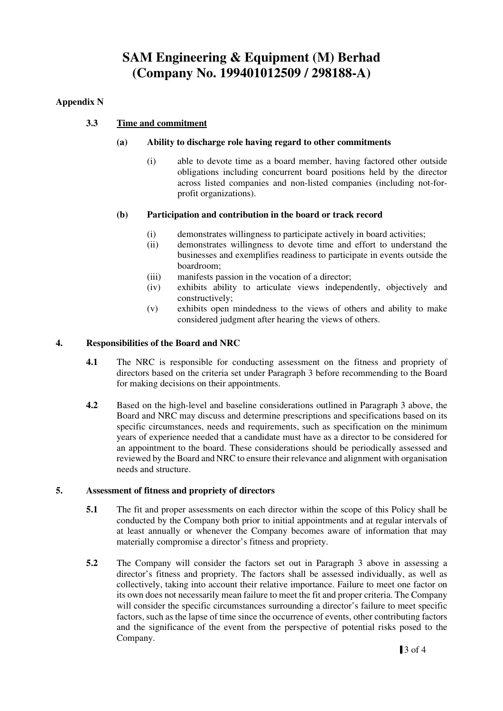# **Appendix N**

# **3.3 Time and commitment**

## **(a) Ability to discharge role having regard to other commitments**

(i) able to devote time as a board member, having factored other outside obligations including concurrent board positions held by the director across listed companies and non-listed companies (including not-forprofit organizations).

## **(b) Participation and contribution in the board or track record**

- (i) demonstrates willingness to participate actively in board activities;
- (ii) demonstrates willingness to devote time and effort to understand the businesses and exemplifies readiness to participate in events outside the boardroom;
- (iii) manifests passion in the vocation of a director;
- (iv) exhibits ability to articulate views independently, objectively and constructively;
- (v) exhibits open mindedness to the views of others and ability to make considered judgment after hearing the views of others.

## **4. Responsibilities of the Board and NRC**

- **4.1** The NRC is responsible for conducting assessment on the fitness and propriety of directors based on the criteria set under Paragraph 3 before recommending to the Board for making decisions on their appointments.
- **4.2** Based on the high-level and baseline considerations outlined in Paragraph 3 above, the Board and NRC may discuss and determine prescriptions and specifications based on its specific circumstances, needs and requirements, such as specification on the minimum years of experience needed that a candidate must have as a director to be considered for an appointment to the board. These considerations should be periodically assessed and reviewed by the Board and NRC to ensure their relevance and alignment with organisation needs and structure.

#### **5. Assessment of fitness and propriety of directors**

- **5.1** The fit and proper assessments on each director within the scope of this Policy shall be conducted by the Company both prior to initial appointments and at regular intervals of at least annually or whenever the Company becomes aware of information that may materially compromise a director's fitness and propriety.
- **5.2** The Company will consider the factors set out in Paragraph 3 above in assessing a director's fitness and propriety. The factors shall be assessed individually, as well as collectively, taking into account their relative importance. Failure to meet one factor on its own does not necessarily mean failure to meet the fit and proper criteria. The Company will consider the specific circumstances surrounding a director's failure to meet specific factors, such as the lapse of time since the occurrence of events, other contributing factors and the significance of the event from the perspective of potential risks posed to the Company.